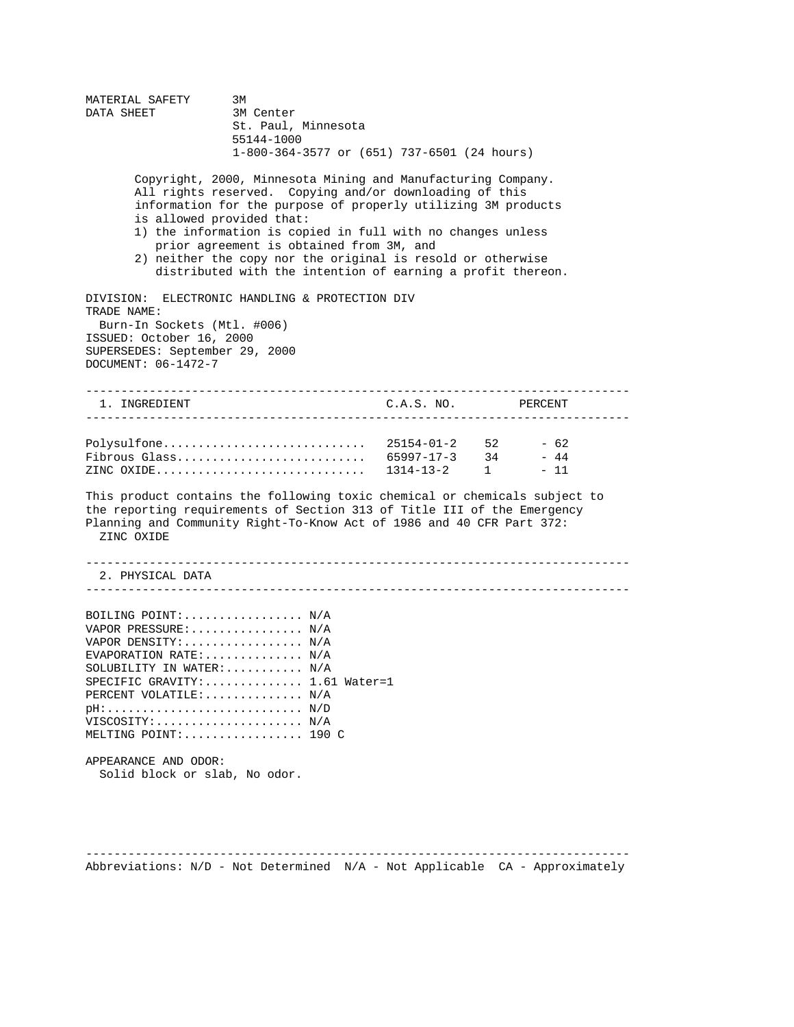MATERIAL SAFETY 3M DATA SHEET 3M Center St. Paul, Minnesota 55144-1000 1-800-364-3577 or (651) 737-6501 (24 hours) Copyright, 2000, Minnesota Mining and Manufacturing Company. All rights reserved. Copying and/or downloading of this information for the purpose of properly utilizing 3M products is allowed provided that: 1) the information is copied in full with no changes unless prior agreement is obtained from 3M, and 2) neither the copy nor the original is resold or otherwise distributed with the intention of earning a profit thereon. DIVISION: ELECTRONIC HANDLING & PROTECTION DIV TRADE NAME: Burn-In Sockets (Mtl. #006) ISSUED: October 16, 2000 SUPERSEDES: September 29, 2000 DOCUMENT: 06-1472-7 ----------------------------------------------------------------------------- 1. INGREDIENT C.A.S. NO. PERCENT ----------------------------------------------------------------------------- Polysulfone............................. 25154-01-2 52 - 62 Fibrous Glass........................... 65997-17-3 34 - 44 ZINC OXIDE.............................. 1314-13-2 1 - 11 This product contains the following toxic chemical or chemicals subject to the reporting requirements of Section 313 of Title III of the Emergency Planning and Community Right-To-Know Act of 1986 and 40 CFR Part 372: ZINC OXIDE ----------------------------------------------------------------------------- 2. PHYSICAL DATA ----------------------------------------------------------------------------- BOILING POINT:................. N/A VAPOR PRESSURE: ............... N/A VAPOR DENSITY:................. N/A EVAPORATION RATE:............. N/A SOLUBILITY IN WATER:.......... N/A SPECIFIC GRAVITY:.............. 1.61 Water=1 PERCENT VOLATILE:............. N/A pH:............................ N/D VISCOSITY:..................... N/A MELTING POINT:................. 190 C APPEARANCE AND ODOR: Solid block or slab, No odor.

----------------------------------------------------------------------------- Abbreviations:  $N/D$  - Not Determined  $N/A$  - Not Applicable  $CA$  - Approximately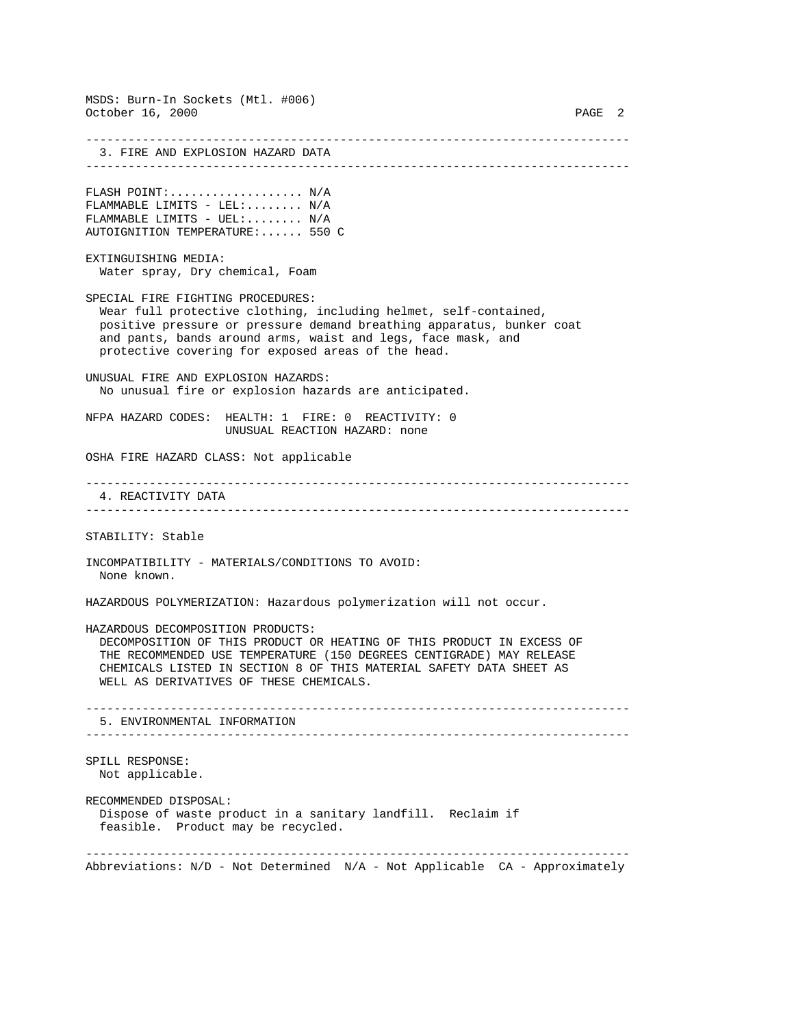MSDS: Burn-In Sockets (Mtl. #006) October 16, 2000 PAGE 2 ----------------------------------------------------------------------------- 3. FIRE AND EXPLOSION HAZARD DATA ----------------------------------------------------------------------------- FLASH POINT:................... N/A FLAMMABLE LIMITS - LEL:........ N/A FLAMMABLE LIMITS -  $UEL:$ .......  $N/A$ AUTOIGNITION TEMPERATURE:...... 550 C EXTINGUISHING MEDIA: Water spray, Dry chemical, Foam SPECIAL FIRE FIGHTING PROCEDURES: Wear full protective clothing, including helmet, self-contained, positive pressure or pressure demand breathing apparatus, bunker coat and pants, bands around arms, waist and legs, face mask, and protective covering for exposed areas of the head. UNUSUAL FIRE AND EXPLOSION HAZARDS: No unusual fire or explosion hazards are anticipated. NFPA HAZARD CODES: HEALTH: 1 FIRE: 0 REACTIVITY: 0 UNUSUAL REACTION HAZARD: none OSHA FIRE HAZARD CLASS: Not applicable ----------------------------------------------------------------------------- 4. REACTIVITY DATA ----------------------------------------------------------------------------- STABILITY: Stable INCOMPATIBILITY - MATERIALS/CONDITIONS TO AVOID: None known. HAZARDOUS POLYMERIZATION: Hazardous polymerization will not occur. HAZARDOUS DECOMPOSITION PRODUCTS: DECOMPOSITION OF THIS PRODUCT OR HEATING OF THIS PRODUCT IN EXCESS OF THE RECOMMENDED USE TEMPERATURE (150 DEGREES CENTIGRADE) MAY RELEASE CHEMICALS LISTED IN SECTION 8 OF THIS MATERIAL SAFETY DATA SHEET AS WELL AS DERIVATIVES OF THESE CHEMICALS. ----------------------------------------------------------------------------- 5. ENVIRONMENTAL INFORMATION ----------------------------------------------------------------------------- SPILL RESPONSE: Not applicable. RECOMMENDED DISPOSAL: Dispose of waste product in a sanitary landfill. Reclaim if feasible. Product may be recycled. ----------------------------------------------------------------------------- Abbreviations:  $N/D$  - Not Determined  $N/A$  - Not Applicable  $CA$  - Approximately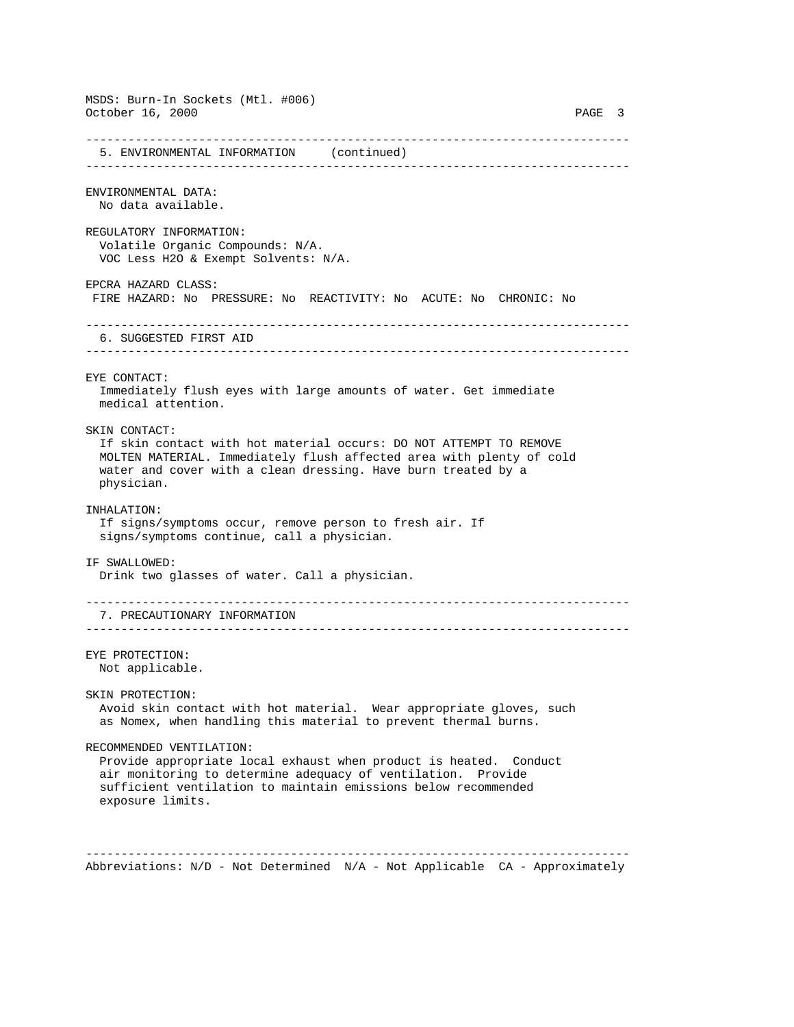MSDS: Burn-In Sockets (Mtl. #006) October 16, 2000 PAGE 3 ----------------------------------------------------------------------------- 5. ENVIRONMENTAL INFORMATION (continued) ----------------------------------------------------------------------------- ENVIRONMENTAL DATA: No data available. REGULATORY INFORMATION: Volatile Organic Compounds: N/A. VOC Less H2O & Exempt Solvents: N/A. EPCRA HAZARD CLASS: FIRE HAZARD: No PRESSURE: No REACTIVITY: No ACUTE: No CHRONIC: No ----------------------------------------------------------------------------- 6. SUGGESTED FIRST AID ----------------------------------------------------------------------------- EYE CONTACT: Immediately flush eyes with large amounts of water. Get immediate medical attention. SKIN CONTACT: If skin contact with hot material occurs: DO NOT ATTEMPT TO REMOVE MOLTEN MATERIAL. Immediately flush affected area with plenty of cold water and cover with a clean dressing. Have burn treated by a physician. INHALATION: If signs/symptoms occur, remove person to fresh air. If signs/symptoms continue, call a physician. IF SWALLOWED: Drink two glasses of water. Call a physician. ----------------------------------------------------------------------------- 7. PRECAUTIONARY INFORMATION ----------------------------------------------------------------------------- EYE PROTECTION: Not applicable. SKIN PROTECTION: Avoid skin contact with hot material. Wear appropriate gloves, such as Nomex, when handling this material to prevent thermal burns. RECOMMENDED VENTILATION: Provide appropriate local exhaust when product is heated. Conduct air monitoring to determine adequacy of ventilation. Provide sufficient ventilation to maintain emissions below recommended exposure limits. -----------------------------------------------------------------------------

Abbreviations:  $N/D$  - Not Determined  $N/A$  - Not Applicable  $CA$  - Approximately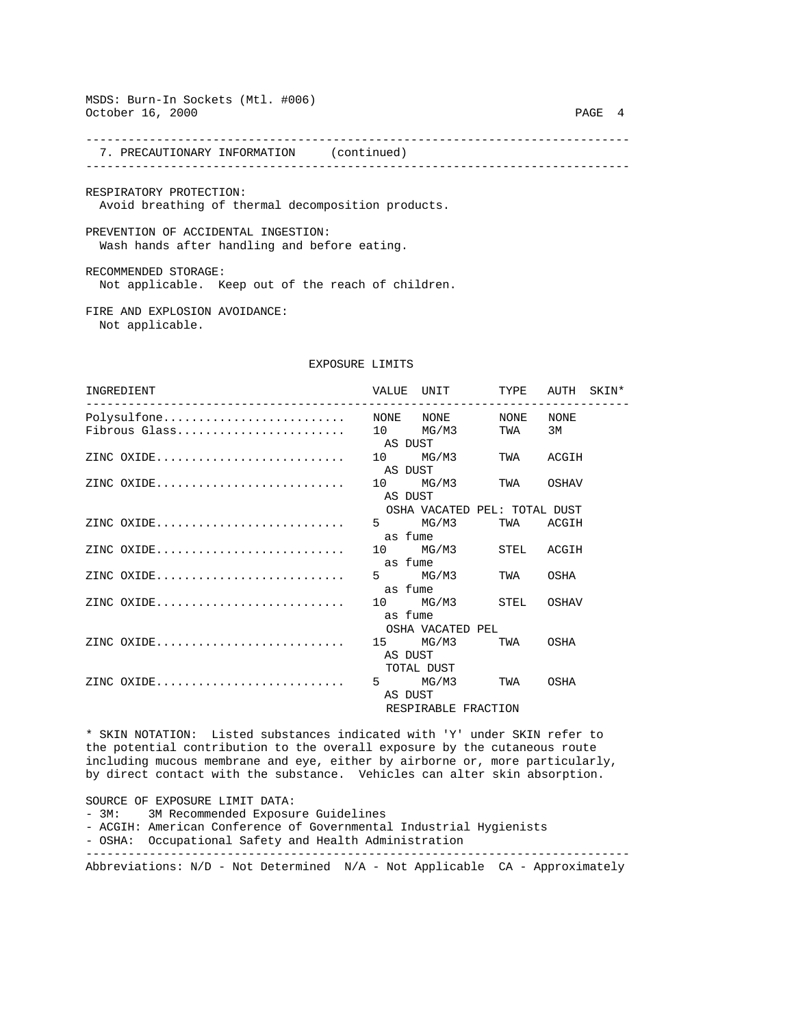## MSDS: Burn-In Sockets (Mtl. #006) October 16, 2000 PAGE 4

----------------------------------------------------------------------------- 7. PRECAUTIONARY INFORMATION (continued)

-----------------------------------------------------------------------------

RESPIRATORY PROTECTION: Avoid breathing of thermal decomposition products.

PREVENTION OF ACCIDENTAL INGESTION: Wash hands after handling and before eating.

RECOMMENDED STORAGE: Not applicable. Keep out of the reach of children.

FIRE AND EXPLOSION AVOIDANCE: Not applicable.

## EXPOSURE LIMITS

| INGREDIENT    |                     | VALUE UNIT TYPE AUTH SKIN*   |  |      |  |
|---------------|---------------------|------------------------------|--|------|--|
|               |                     |                              |  |      |  |
| Fibrous Glass |                     | 10 MG/M3 TWA                 |  | 3M   |  |
|               | AS DUST             |                              |  |      |  |
|               |                     | 10 MG/M3 TWA ACGIH           |  |      |  |
|               | AS DUST             |                              |  |      |  |
|               |                     | 10 MG/M3 TWA OSHAV           |  |      |  |
|               | AS DUST             |                              |  |      |  |
|               |                     | OSHA VACATED PEL: TOTAL DUST |  |      |  |
|               |                     | 5 MG/M3 TWA ACGIH            |  |      |  |
|               | as fume             |                              |  |      |  |
| ZINC $OXIDE$  |                     | 10 MG/M3 STEL ACGIH          |  |      |  |
|               | as fume             |                              |  |      |  |
| ZINC $OXIDE$  |                     | 5 MG/M3 TWA OSHA             |  |      |  |
|               | as fume             |                              |  |      |  |
|               |                     | 10 MG/M3 STEL OSHAV          |  |      |  |
|               | as fume             |                              |  |      |  |
|               |                     | OSHA VACATED PEL             |  |      |  |
|               |                     | 15 MG/M3 TWA OSHA            |  |      |  |
|               | AS DUST             |                              |  |      |  |
|               | TOTAL DUST          |                              |  |      |  |
|               |                     | 5 MG/M3 TWA                  |  | OSHA |  |
|               | AS DUST             |                              |  |      |  |
|               | RESPIRABLE FRACTION |                              |  |      |  |

\* SKIN NOTATION: Listed substances indicated with 'Y' under SKIN refer to the potential contribution to the overall exposure by the cutaneous route including mucous membrane and eye, either by airborne or, more particularly, by direct contact with the substance. Vehicles can alter skin absorption.

SOURCE OF EXPOSURE LIMIT DATA:

- 3M: 3M Recommended Exposure Guidelines
- ACGIH: American Conference of Governmental Industrial Hygienists
- OSHA: Occupational Safety and Health Administration -----------------------------------------------------------------------------

Abbreviations: N/D - Not Determined N/A - Not Applicable CA - Approximately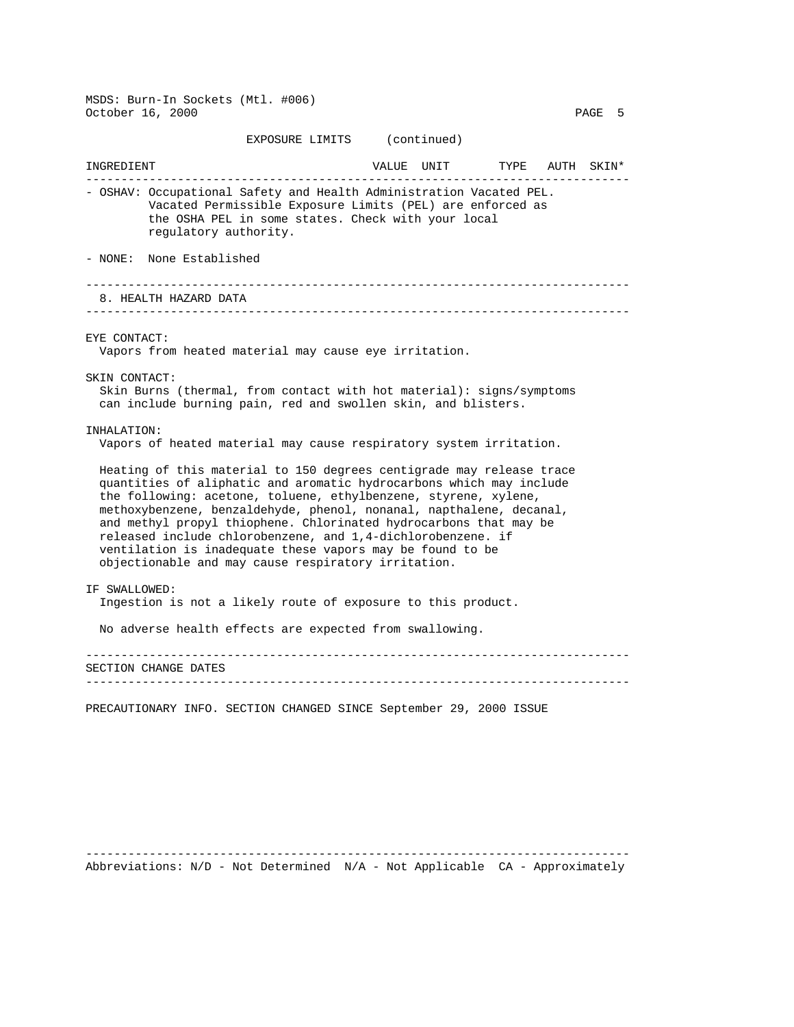MSDS: Burn-In Sockets (Mtl. #006) October 16, 2000 PAGE 5

## EXPOSURE LIMITS (continued)

INGREDIENT VALUE UNIT TYPE AUTH SKIN\* ----------------------------------------------------------------------------- - OSHAV: Occupational Safety and Health Administration Vacated PEL. Vacated Permissible Exposure Limits (PEL) are enforced as the OSHA PEL in some states. Check with your local regulatory authority. - NONE: None Established ----------------------------------------------------------------------------- 8. HEALTH HAZARD DATA ----------------------------------------------------------------------------- EYE CONTACT: Vapors from heated material may cause eye irritation. SKIN CONTACT: Skin Burns (thermal, from contact with hot material): signs/symptoms can include burning pain, red and swollen skin, and blisters. INHALATION: Vapors of heated material may cause respiratory system irritation. Heating of this material to 150 degrees centigrade may release trace quantities of aliphatic and aromatic hydrocarbons which may include the following: acetone, toluene, ethylbenzene, styrene, xylene, methoxybenzene, benzaldehyde, phenol, nonanal, napthalene, decanal, and methyl propyl thiophene. Chlorinated hydrocarbons that may be released include chlorobenzene, and 1,4-dichlorobenzene. if ventilation is inadequate these vapors may be found to be objectionable and may cause respiratory irritation. IF SWALLOWED: Ingestion is not a likely route of exposure to this product. No adverse health effects are expected from swallowing. ----------------------------------------------------------------------------- SECTION CHANGE DATES -----------------------------------------------------------------------------

PRECAUTIONARY INFO. SECTION CHANGED SINCE September 29, 2000 ISSUE

----------------------------------------------------------------------------- Abbreviations:  $N/D$  - Not Determined  $N/A$  - Not Applicable  $CA$  - Approximately